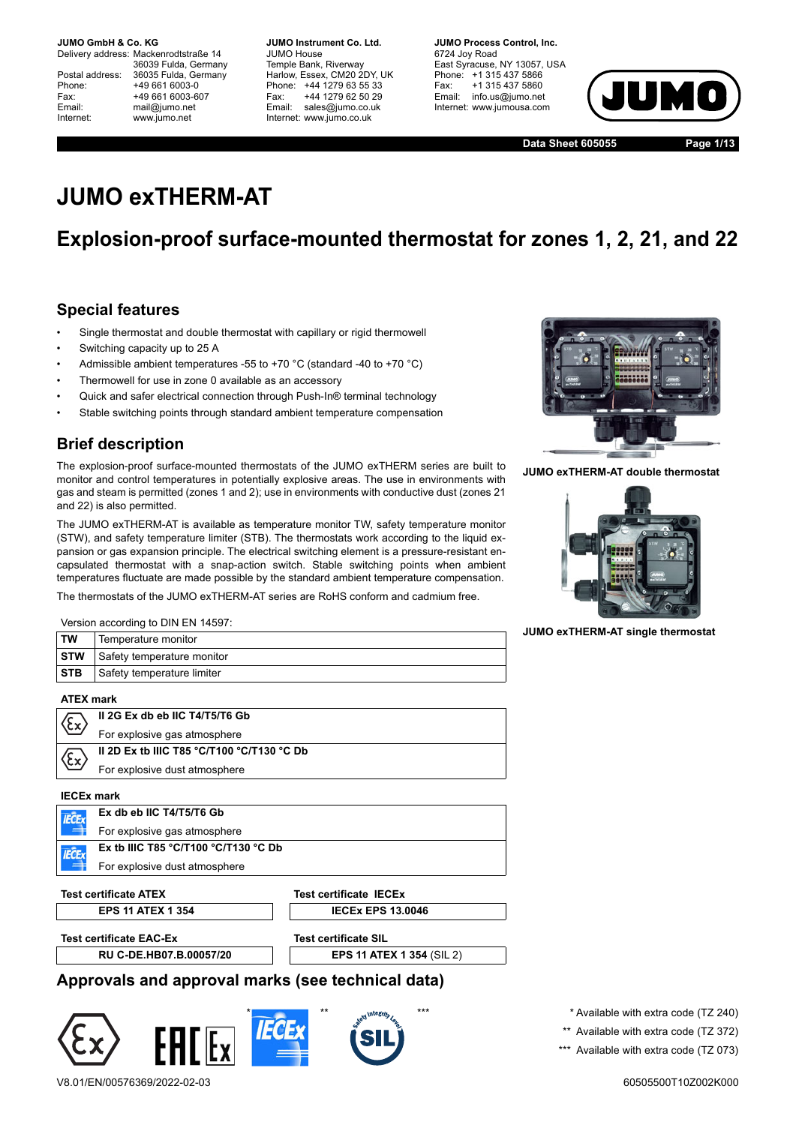Delivery address: Mackenrodtstraße 14 36039 Fulda, Germany Postal address: 36035 Fulda, Germany Phone: +49 661 6003-0 Fax: +49 661 6003-607 Email: mail@jumo.net Internet: www.jumo.net

**JUMO Instrument Co. Ltd.** JUMO House Temple Bank, Riverway Harlow, Essex, CM20 2DY, UK Phone: +44 1279 63 55 33 Fax: +44 1279 62 50 29 Email: sales@jumo.co.uk Internet: www.jumo.co.uk

**JUMO Process Control, Inc.** 6724 Joy Road East Syracuse, NY 13057, USA Phone: +1 315 437 5866 Fax: +1 315 437 5860 Email: info.us@jumo.net Internet: www.jumousa.com



**Data Sheet 605055 Page 1/13**

# **JUMO exTHERM-AT**

## **Explosion-proof surface-mounted thermostat for zones 1, 2, 21, and 22**

### **Special features**

- Single thermostat and double thermostat with capillary or rigid thermowell
- Switching capacity up to 25 A
- Admissible ambient temperatures -55 to +70 °C (standard -40 to +70 °C)
- Thermowell for use in zone 0 available as an accessory
- Quick and safer electrical connection through Push-In® terminal technology
- Stable switching points through standard ambient temperature compensation

## **Brief description**

Version according to DIN EN 14597:

The explosion-proof surface-mounted thermostats of the JUMO exTHERM series are built to monitor and control temperatures in potentially explosive areas. The use in environments with gas and steam is permitted (zones 1 and 2); use in environments with conductive dust (zones 21 and 22) is also permitted.

The JUMO exTHERM-AT is available as temperature monitor TW, safety temperature monitor (STW), and safety temperature limiter (STB). The thermostats work according to the liquid expansion or gas expansion principle. The electrical switching element is a pressure-resistant encapsulated thermostat with a snap-action switch. Stable switching points when ambient temperatures fluctuate are made possible by the standard ambient temperature compensation.

The thermostats of the JUMO exTHERM-AT series are RoHS conform and cadmium free.

| <b>STW</b><br>٠ |
|-----------------|
|                 |

**JUMO exTHERM-AT double thermostat**



**JUMO exTHERM-AT single thermostat**

|            | VCISION ACCORDING TO DIRECT 17001. |
|------------|------------------------------------|
| <b>TW</b>  | Temperature monitor                |
| ∣sтw       | Safety temperature monitor         |
| <b>STB</b> | Safety temperature limiter         |
|            |                                    |

**ATEX mark**

|            | II 2G Ex db eb IIC T4/T5/T6 Gb                                        |
|------------|-----------------------------------------------------------------------|
| \CX        | For explosive gas atmosphere                                          |
|            | II 2D Ex tb IIIC T85 $\degree$ C/T100 $\degree$ C/T130 $\degree$ C Db |
| <b>x3/</b> | For explosive dust atmosphere                                         |
|            |                                                                       |

**IECEx mark Ex db eb IIC T4/T5/T6 Gb IFCF** For explosive gas atmosphere **Ex tb IIIC T85 °C/T100 °C/T130 °C Db IECEx** For explosive dust atmosphere

**Test certificate ATEX Test certificate IECEx**

**EPS 11 ATEX 1 354 IECEX EPS 13.0046** 

**Test certificate EAC-Ex Test certificate SIL** 

**RU C-DE.HB07.B.00057/20 EPS 11 ATEX 1 354** (SIL 2)

### **Approvals and approval marks (see technical data)**



\* Available with extra code (TZ 240) \*\* Available with extra code (TZ 372) \*\*\* Available with extra code (TZ 073)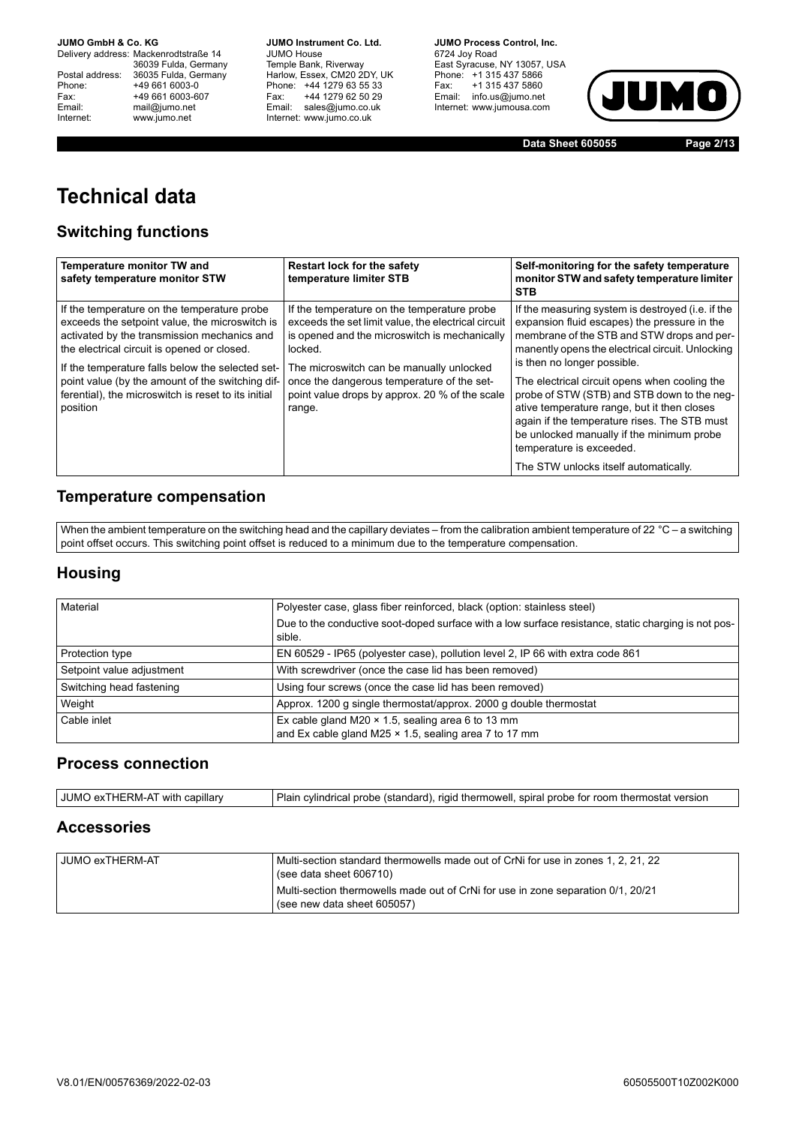Delivery address: Mackenrodtstraße 14 36039 Fulda, Germany Postal address: 36035 Fulda, Germany Phone: +49 661 6003-0<br>
Fax: +49 661 6003-6<br>
Email: mail@jumo.net +49 661 6003-607 mail@jumo.net Internet: www.jumo.net

**JUMO Instrument Co. Ltd.** JUMO House Temple Bank, Riverway Harlow, Essex, CM20 2DY, UK Phone: +44 1279 63 55 33 Fax: +44 1279 62 50 29 Email: sales@jumo.co.uk Internet: www.jumo.co.uk

**JUMO Process Control, Inc.** 6724 Joy Road East Syracuse, NY 13057, USA Phone: +1 315 437 5866 Fax: +1 315 437 5860 Email: info.us@jumo.net Internet: www.jumousa.com



**Data Sheet 605055 Page 2/13**

# **Technical data**

## **Switching functions**

| temperature limiter STB                                                                                                                                        | Self-monitoring for the safety temperature<br>monitor STW and safety temperature limiter<br><b>STB</b>                                                                                                                                                                                                        |  |
|----------------------------------------------------------------------------------------------------------------------------------------------------------------|---------------------------------------------------------------------------------------------------------------------------------------------------------------------------------------------------------------------------------------------------------------------------------------------------------------|--|
| If the temperature on the temperature probe<br>exceeds the set limit value, the electrical circuit<br>is opened and the microswitch is mechanically<br>locked. | If the measuring system is destroyed (i.e. if the<br>expansion fluid escapes) the pressure in the<br>membrane of the STB and STW drops and per-<br>manently opens the electrical circuit. Unlocking<br>is then no longer possible.                                                                            |  |
| once the dangerous temperature of the set-<br>point value drops by approx. 20 % of the scale<br>range.                                                         | The electrical circuit opens when cooling the<br>probe of STW (STB) and STB down to the neq-<br>ative temperature range, but it then closes<br>again if the temperature rises. The STB must<br>be unlocked manually if the minimum probe<br>temperature is exceeded.<br>The STW unlocks itself automatically. |  |
|                                                                                                                                                                | The microswitch can be manually unlocked                                                                                                                                                                                                                                                                      |  |

### **Temperature compensation**

When the ambient temperature on the switching head and the capillary deviates – from the calibration ambient temperature of 22  $^{\circ}$ C – a switching point offset occurs. This switching point offset is reduced to a minimum due to the temperature compensation.

### **Housing**

| Material<br>Polyester case, glass fiber reinforced, black (option: stainless steel)                                              |                                                                                                               |  |  |
|----------------------------------------------------------------------------------------------------------------------------------|---------------------------------------------------------------------------------------------------------------|--|--|
|                                                                                                                                  | Due to the conductive soot-doped surface with a low surface resistance, static charging is not pos-<br>sible. |  |  |
| Protection type                                                                                                                  | EN 60529 - IP65 (polyester case), pollution level 2, IP 66 with extra code 861                                |  |  |
| Setpoint value adjustment                                                                                                        | With screwdriver (once the case lid has been removed)                                                         |  |  |
| Switching head fastening                                                                                                         | Using four screws (once the case lid has been removed)                                                        |  |  |
| Weight                                                                                                                           | Approx. 1200 g single thermostat/approx. 2000 g double thermostat                                             |  |  |
| Ex cable gland M20 $\times$ 1.5, sealing area 6 to 13 mm<br>Cable inlet<br>and Ex cable gland M25 × 1.5, sealing area 7 to 17 mm |                                                                                                               |  |  |

#### **Process connection**

| JUMO exTHERM-AT with capillary<br>Plain<br>า cylindrical probe (standard), rigid thermowell, spiral probe for room thermostat version |
|---------------------------------------------------------------------------------------------------------------------------------------|
|---------------------------------------------------------------------------------------------------------------------------------------|

#### **Accessories**

| <b>JUMO exTHERM-AT</b> | Multi-section standard thermowells made out of CrNi for use in zones 1, 2, 21, 22<br>(see data sheet 606710)    |
|------------------------|-----------------------------------------------------------------------------------------------------------------|
|                        | Multi-section thermowells made out of CrNi for use in zone separation 0/1, 20/21<br>(see new data sheet 605057) |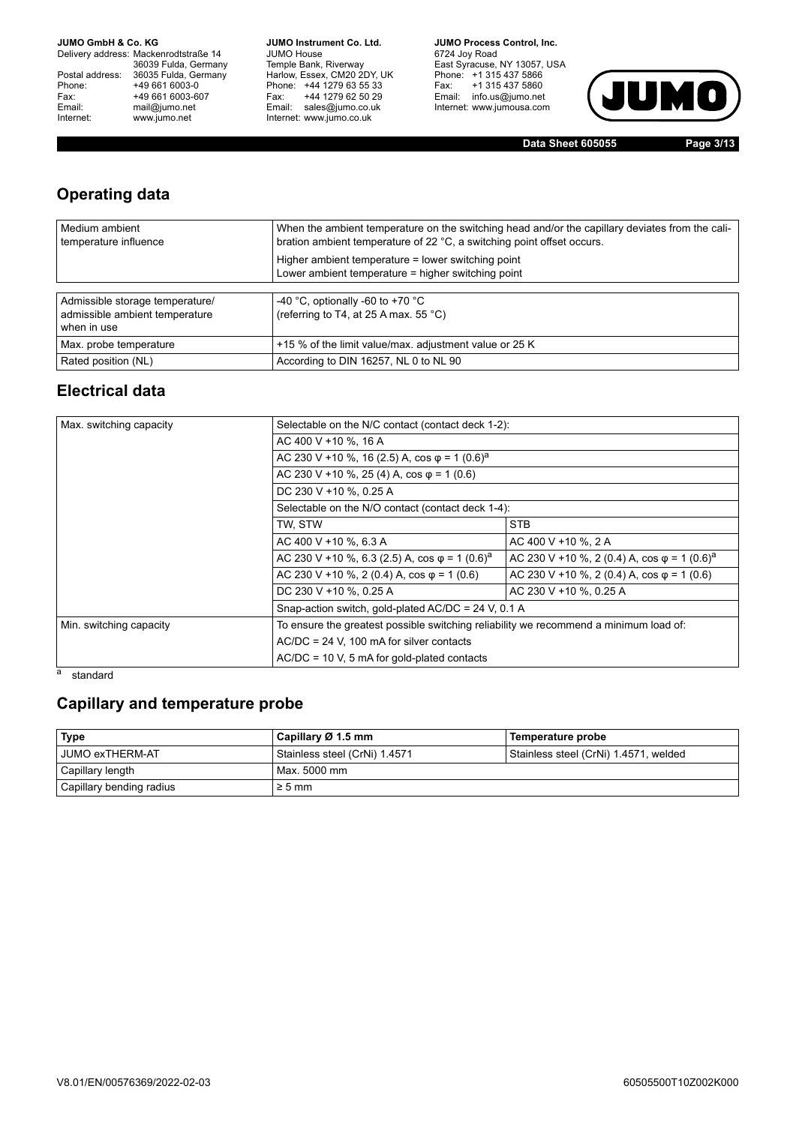Delivery address: Mackenrodtstraße 14 36039 Fulda, Germany Postal address: 36035 Fulda, Germany Phone: +49 661 6003-0<br>
Fax: +49 661 6003-6<br>
Email: mail@jumo.net +49 661 6003-607 mail@jumo.net Internet: www.jumo.net

**JUMO Instrument Co. Ltd.** JUMO House Temple Bank, Riverway Harlow, Essex, CM20 2DY, UK Phone: +44 1279 63 55 33 Fax: +44 1279 62 50 29 Email: sales@jumo.co.uk Internet: www.jumo.co.uk

**JUMO Process Control, Inc.** 6724 Joy Road East Syracuse, NY 13057, USA Phone: +1 315 437 5866 Fax: +1 315 437 5860 Email: info.us@jumo.net Internet: www.jumousa.com



**Data Sheet 605055 Page 3/13**

## **Operating data**

| Medium ambient<br>temperature influence                                          | When the ambient temperature on the switching head and/or the capillary deviates from the cali-<br>bration ambient temperature of 22 °C, a switching point offset occurs. |
|----------------------------------------------------------------------------------|---------------------------------------------------------------------------------------------------------------------------------------------------------------------------|
|                                                                                  | Higher ambient temperature = lower switching point<br>Lower ambient temperature = higher switching point                                                                  |
| Admissible storage temperature/<br>admissible ambient temperature<br>when in use | -40 °C, optionally -60 to +70 °C<br>(referring to T4, at 25 A max. 55 °C)                                                                                                 |
| Max. probe temperature                                                           | +15 % of the limit value/max. adjustment value or 25 K                                                                                                                    |
| Rated position (NL)                                                              | According to DIN 16257, NL 0 to NL 90                                                                                                                                     |

### **Electrical data**

| Max. switching capacity | Selectable on the N/C contact (contact deck 1-2):                                                                                                                                                                                                |  |  |  |  |
|-------------------------|--------------------------------------------------------------------------------------------------------------------------------------------------------------------------------------------------------------------------------------------------|--|--|--|--|
|                         | AC 400 V +10 %, 16 A                                                                                                                                                                                                                             |  |  |  |  |
|                         | AC 230 V +10 %, 16 (2.5) A, cos $\varphi$ = 1 (0.6) <sup>a</sup>                                                                                                                                                                                 |  |  |  |  |
|                         | AC 230 V +10 %, 25 (4) A, $cos \varphi = 1$ (0.6)                                                                                                                                                                                                |  |  |  |  |
|                         | DC 230 V +10 %, 0.25 A                                                                                                                                                                                                                           |  |  |  |  |
|                         | Selectable on the N/O contact (contact deck 1-4):                                                                                                                                                                                                |  |  |  |  |
|                         | <b>STB</b><br>TW, STW                                                                                                                                                                                                                            |  |  |  |  |
|                         | AC 400 V +10 %, 6.3 A<br>AC 400 V +10 %, 2 A                                                                                                                                                                                                     |  |  |  |  |
|                         | AC 230 V +10 %, 6.3 (2.5) A, cos $\varphi$ = 1 (0.6) <sup>a</sup><br>AC 230 V +10 %, 2 (0.4) A, cos $\varphi$ = 1 (0.6) <sup>a</sup><br>AC 230 V +10 %, 2 (0.4) A, $cos \varphi = 1$ (0.6)<br>AC 230 V +10 %, 2 (0.4) A, $cos \varphi = 1$ (0.6) |  |  |  |  |
|                         |                                                                                                                                                                                                                                                  |  |  |  |  |
|                         | AC 230 V +10 %, 0.25 A                                                                                                                                                                                                                           |  |  |  |  |
|                         | Snap-action switch, gold-plated AC/DC = 24 V, 0.1 A                                                                                                                                                                                              |  |  |  |  |
| Min. switching capacity | To ensure the greatest possible switching reliability we recommend a minimum load of:                                                                                                                                                            |  |  |  |  |
|                         | $AC/DC = 24$ V, 100 mA for silver contacts                                                                                                                                                                                                       |  |  |  |  |
|                         | $AC/DC = 10$ V, 5 mA for gold-plated contacts                                                                                                                                                                                                    |  |  |  |  |

#### a standard

### **Capillary and temperature probe**

| <b>Type</b>              | Capillary Ø 1.5 mm<br>Temperature probe |                                       |
|--------------------------|-----------------------------------------|---------------------------------------|
| <b>JUMO exTHERM-AT</b>   | Stainless steel (CrNi) 1.4571           | Stainless steel (CrNi) 1.4571, welded |
| Capillary length         | Max. 5000 mm                            |                                       |
| Capillary bending radius | $\geq 5$ mm                             |                                       |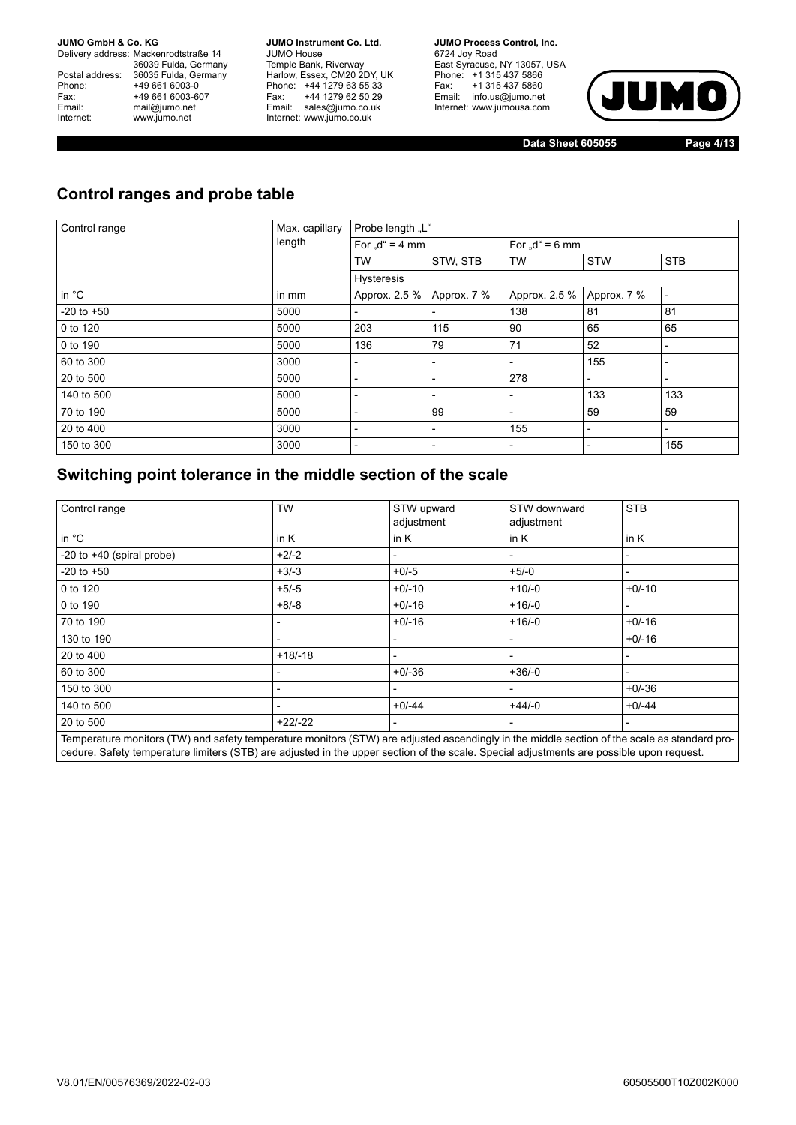Delivery address: Mackenrodtstraße 14 36039 Fulda, Germany Postal address: 36035 Fulda, Germany Phone: +49 661 6003-0<br>
Fax: +49 661 6003-6<br>
Email: mail@jumo.net +49 661 6003-607 mail@jumo.net Internet: www.jumo.net

**JUMO Instrument Co. Ltd.** JUMO House Temple Bank, Riverway Harlow, Essex, CM20 2DY, UK Phone: +44 1279 63 55 33 Fax: +44 1279 62 50 29 Email: sales@jumo.co.uk Internet: www.jumo.co.uk

**JUMO Process Control, Inc.** 6724 Joy Road East Syracuse, NY 13057, USA Phone: +1 315 437 5866 Fax: +1 315 437 5860 Email: info.us@jumo.net Internet: www.jumousa.com



**Data Sheet 605055 Page 4/13**

## **Control ranges and probe table**

| Control range  | Max. capillary | Probe length "L"           |                          |                          |                          |                          |
|----------------|----------------|----------------------------|--------------------------|--------------------------|--------------------------|--------------------------|
|                | length         | For $\mathcal{A}^* = 4$ mm |                          | For $,d^* = 6$ mm        |                          |                          |
|                |                | <b>TW</b>                  | STW, STB                 | <b>TW</b>                | <b>STW</b>               | <b>STB</b>               |
|                |                | <b>Hysteresis</b>          |                          |                          |                          |                          |
| in °C          | in mm          | Approx. 2.5 %              | Approx. 7 %              | Approx. 2.5 %            | Approx. 7 %              | $\overline{\phantom{a}}$ |
| $-20$ to $+50$ | 5000           |                            |                          | 138                      | 81                       | 81                       |
| 0 to 120       | 5000           | 203                        | 115                      | 90                       | 65                       | 65                       |
| 0 to 190       | 5000           | 136                        | 79                       | 71                       | 52                       | $\overline{\phantom{a}}$ |
| 60 to 300      | 3000           | -                          | $\overline{\phantom{a}}$ | $\overline{\phantom{a}}$ | 155                      |                          |
| 20 to 500      | 5000           |                            |                          | 278                      | $\overline{\phantom{a}}$ |                          |
| 140 to 500     | 5000           | $\overline{\phantom{a}}$   | $\blacksquare$           | $\blacksquare$           | 133                      | 133                      |
| 70 to 190      | 5000           |                            | 99                       |                          | 59                       | 59                       |
| 20 to 400      | 3000           |                            |                          | 155                      | $\overline{\phantom{a}}$ | $\overline{\phantom{a}}$ |
| 150 to 300     | 3000           |                            | $\overline{\phantom{0}}$ |                          | $\overline{\phantom{a}}$ | 155                      |

## **Switching point tolerance in the middle section of the scale**

| Control range                                                                                                                                | <b>TW</b>                | STW upward<br>adjustment | STW downward<br>adjustment | <b>STB</b>               |  |
|----------------------------------------------------------------------------------------------------------------------------------------------|--------------------------|--------------------------|----------------------------|--------------------------|--|
| in $^{\circ}$ C                                                                                                                              | in $K$                   | in $K$                   | in $K$                     | in $K$                   |  |
| -20 to $+40$ (spiral probe)                                                                                                                  | $+2/-2$                  |                          |                            | -                        |  |
| $-20$ to $+50$                                                                                                                               | $+3/-3$                  | $+0/-5$                  | $+5/-0$                    | $\overline{\phantom{0}}$ |  |
| 0 to 120                                                                                                                                     | $+5/-5$                  | $+0/-10$                 | $+10/-0$                   | $+0/-10$                 |  |
| 0 to 190                                                                                                                                     | $+8/ -8$                 | $+0/-16$                 | $+16/-0$                   | $\overline{a}$           |  |
| 70 to 190                                                                                                                                    |                          | $+0/-16$                 | $+16/-0$                   | $+0/-16$                 |  |
| 130 to 190                                                                                                                                   |                          |                          |                            | $+0/-16$                 |  |
| 20 to 400                                                                                                                                    | $+18/18$                 |                          |                            | $\overline{\phantom{0}}$ |  |
| 60 to 300                                                                                                                                    | $\overline{\phantom{0}}$ | $+0/-36$                 | $+36/-0$                   | $\overline{\phantom{a}}$ |  |
| 150 to 300                                                                                                                                   |                          |                          |                            | $+0/-36$                 |  |
| 140 to 500                                                                                                                                   | $\blacksquare$           | $+0/-44$                 | $+44/-0$                   | $+0/-44$                 |  |
| 20 to 500                                                                                                                                    | $+22/-22$                |                          |                            | -                        |  |
| Temperature monitors (TW) and safety temperature monitors (STW) are adjusted ascendingly in the middle section of the scale as standard pro- |                          |                          |                            |                          |  |

erature monitors (TW) and safety temperature monitors (STW) are adjusted ascendingly in the middle  $\,$ cedure. Safety temperature limiters (STB) are adjusted in the upper section of the scale. Special adjustments are possible upon request.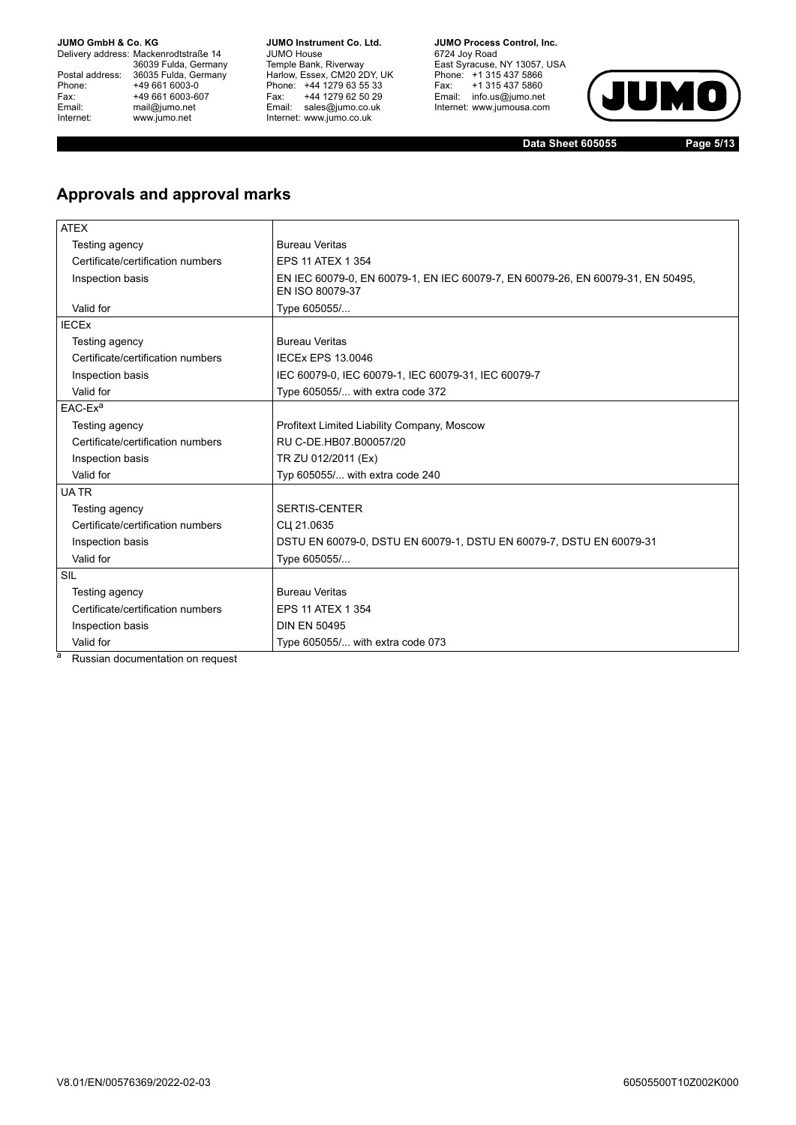Delivery address: Mackenrodtstraße 14 36039 Fulda, Germany Postal address: 36035 Fulda, Germany Phone: +49 661 6003-0<br>
Fax: +49 661 6003-6<br>
Email: mail@jumo.net +49 661 6003-607 mail@jumo.net Internet: www.jumo.net

**JUMO Instrument Co. Ltd.** JUMO House Temple Bank, Riverway Harlow, Essex, CM20 2DY, UK Phone: +44 1279 63 55 33 Fax: +44 1279 62 50 29 Email: sales@jumo.co.uk Internet: www.jumo.co.uk

**JUMO Process Control, Inc.** 6724 Joy Road East Syracuse, NY 13057, USA Phone: +1 315 437 5866 Fax: +1 315 437 5860 Email: info.us@jumo.net Internet: www.jumousa.com



**Data Sheet 605055 Page 5/13**

## **Approvals and approval marks**

| <b>ATEX</b>                       |                                                                                                    |
|-----------------------------------|----------------------------------------------------------------------------------------------------|
| Testing agency                    | <b>Bureau Veritas</b>                                                                              |
| Certificate/certification numbers | <b>EPS 11 ATEX 1 354</b>                                                                           |
| Inspection basis                  | EN IEC 60079-0, EN 60079-1, EN IEC 60079-7, EN 60079-26, EN 60079-31, EN 50495,<br>EN ISO 80079-37 |
| Valid for                         | Type 605055/                                                                                       |
| <b>IECEX</b>                      |                                                                                                    |
| Testing agency                    | <b>Bureau Veritas</b>                                                                              |
| Certificate/certification numbers | <b>IECEX EPS 13.0046</b>                                                                           |
| Inspection basis                  | IEC 60079-0, IEC 60079-1, IEC 60079-31, IEC 60079-7                                                |
| Valid for                         | Type 605055/ with extra code 372                                                                   |
| $EAC$ - $Exa$                     |                                                                                                    |
| Testing agency                    | Profitext Limited Liability Company, Moscow                                                        |
| Certificate/certification numbers | RU C-DE.HB07.B00057/20                                                                             |
| Inspection basis                  | TR ZU 012/2011 (Ex)                                                                                |
| Valid for                         | Typ 605055/ with extra code 240                                                                    |
| <b>UATR</b>                       |                                                                                                    |
| Testing agency                    | <b>SERTIS-CENTER</b>                                                                               |
| Certificate/certification numbers | CLI 21.0635                                                                                        |
| Inspection basis                  | DSTU EN 60079-0, DSTU EN 60079-1, DSTU EN 60079-7, DSTU EN 60079-31                                |
| Valid for                         | Type 605055/                                                                                       |
| SIL                               |                                                                                                    |
| Testing agency                    | <b>Bureau Veritas</b>                                                                              |
| Certificate/certification numbers | <b>EPS 11 ATEX 1 354</b>                                                                           |
| Inspection basis                  | <b>DIN EN 50495</b>                                                                                |
| Valid for                         | Type 605055/ with extra code 073                                                                   |

a Russian documentation on request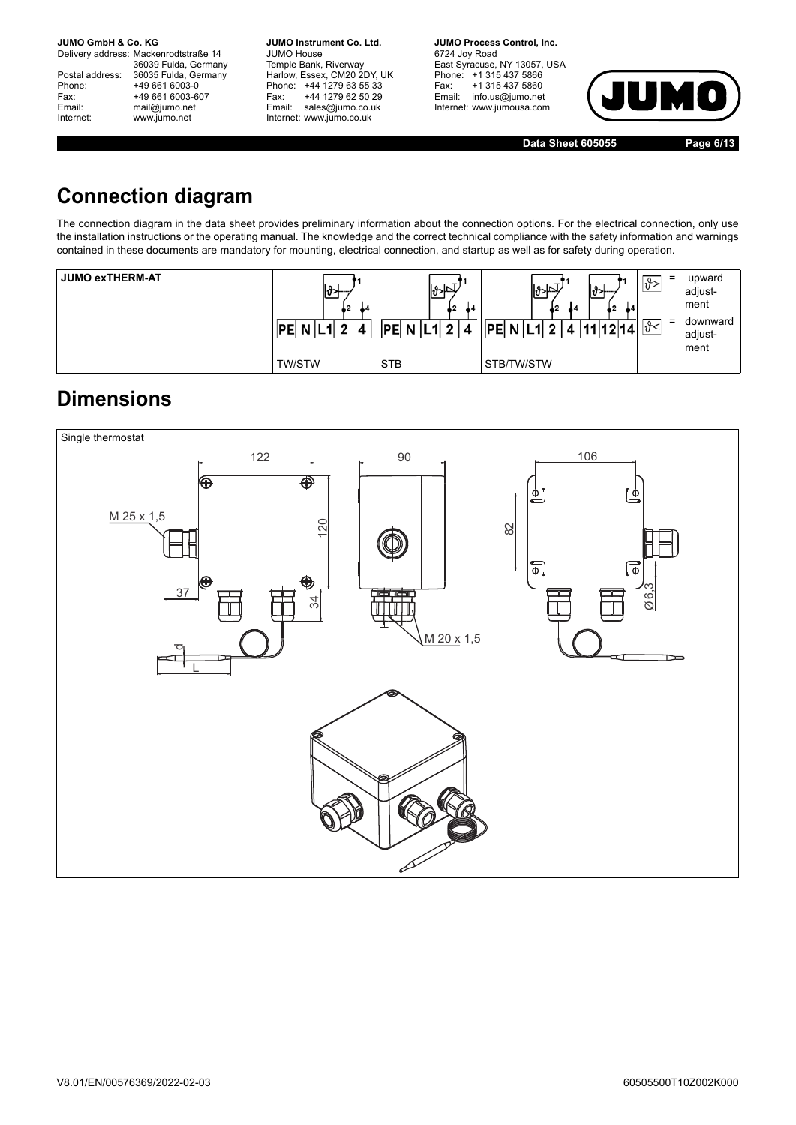Delivery address: Mackenrodtstraße 14 36039 Fulda, Germany Postal address: 36035 Fulda, Germany Postal address: 36035 Fulda, Ge<br>Phone: +49 661 6003-0 Fax: +49 661 6003-607<br>Email: mail@jumo.net mail@jumo.net Internet: www.jumo.net

**JUMO Instrument Co. Ltd.** JUMO House Temple Bank, Riverway Harlow, Essex, CM20 2DY, UK Phone: +44 1279 63 55 33 Fax: +44 1279 62 50 29 Email: sales@jumo.co.uk Internet: www.jumo.co.uk

**JUMO Process Control, Inc.** 6724 Joy Road East Syracuse, NY 13057, USA Phone: +1 315 437 5866 Fax: +1 315 437 5860 Email: info.us@jumo.net Internet: www.jumousa.com



**Data Sheet 605055 Page 6/13**

## **Connection diagram**

The connection diagram in the data sheet provides preliminary information about the connection options. For the electrical connection, only use the installation instructions or the operating manual. The knowledge and the correct technical compliance with the safety information and warnings contained in these documents are mandatory for mounting, electrical connection, and startup as well as for safety during operation.

| <b>JUMO exTHERM-AT</b> | 42<br>44 | 42<br>44   | ∥\$> ≏<br>44<br>44<br>▪<br>N <sub>1</sub><br><b>DEI</b> | -<br>$\equiv$<br>ے 9. | upward<br>adjust-<br>ment<br>downward<br>adjust-<br>ment |
|------------------------|----------|------------|---------------------------------------------------------|-----------------------|----------------------------------------------------------|
|                        | TW/STW   | <b>STB</b> | STB/TW/STW                                              |                       |                                                          |

## **Dimensions**

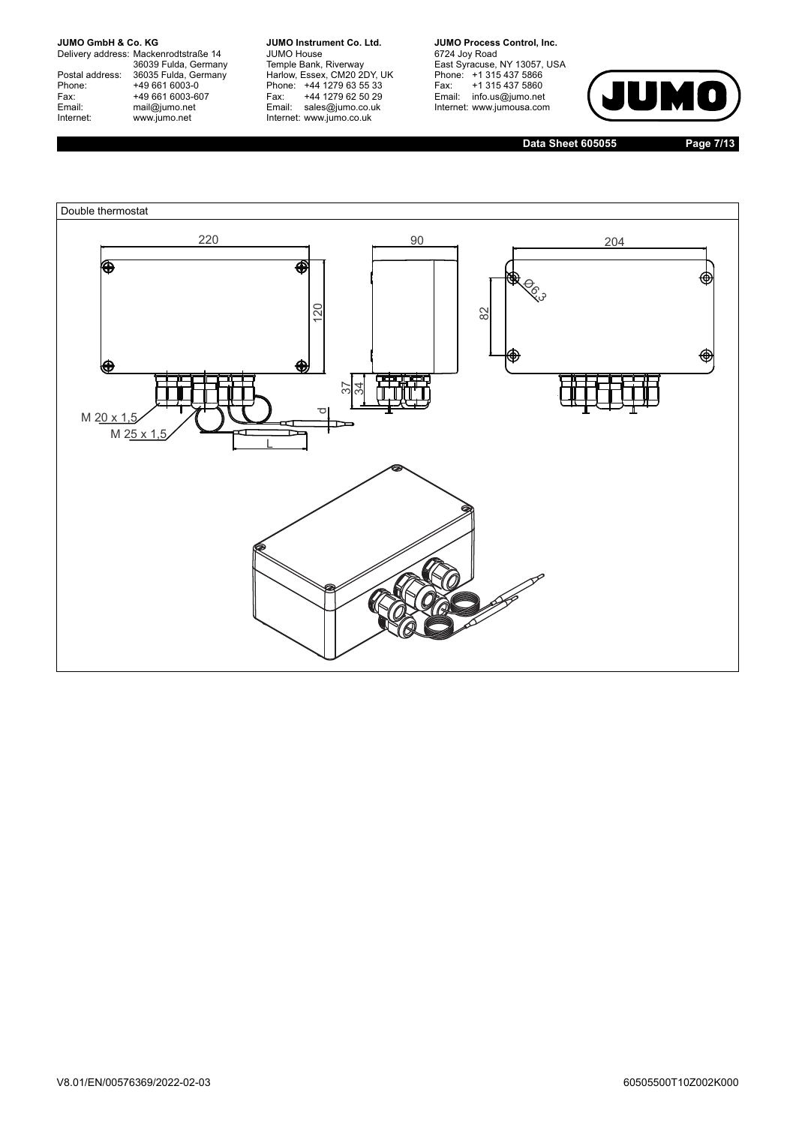Delivery address: Mackenrodtstraße 14 36039 Fulda, Germany Postal address: 36035 Fulda, Germany Postal address: 36035 Fulda, Ge<br>
Phone: +49 661 6003-0<br>
Fax: +49 661 6003-6<br>
Email: mail@jumo.net +49 661 6003-607 mail@jumo.net Internet: www.jumo.net

**JUMO Instrument Co. Ltd.** JUMO House Temple Bank, Riverway Harlow, Essex, CM20 2DY, UK Phone: +44 1279 63 55 33 Fax: +44 1279 62 50 29 Email: sales@jumo.co.uk Internet: www.jumo.co.uk

**JUMO Process Control, Inc.** 6724 Joy Road East Syracuse, NY 13057, USA Phone: +1 315 437 5866 Fax: +1 315 437 5860 Email: info.us@jumo.net Internet: www.jumousa.com



**Data Sheet 605055 Page 7/13**

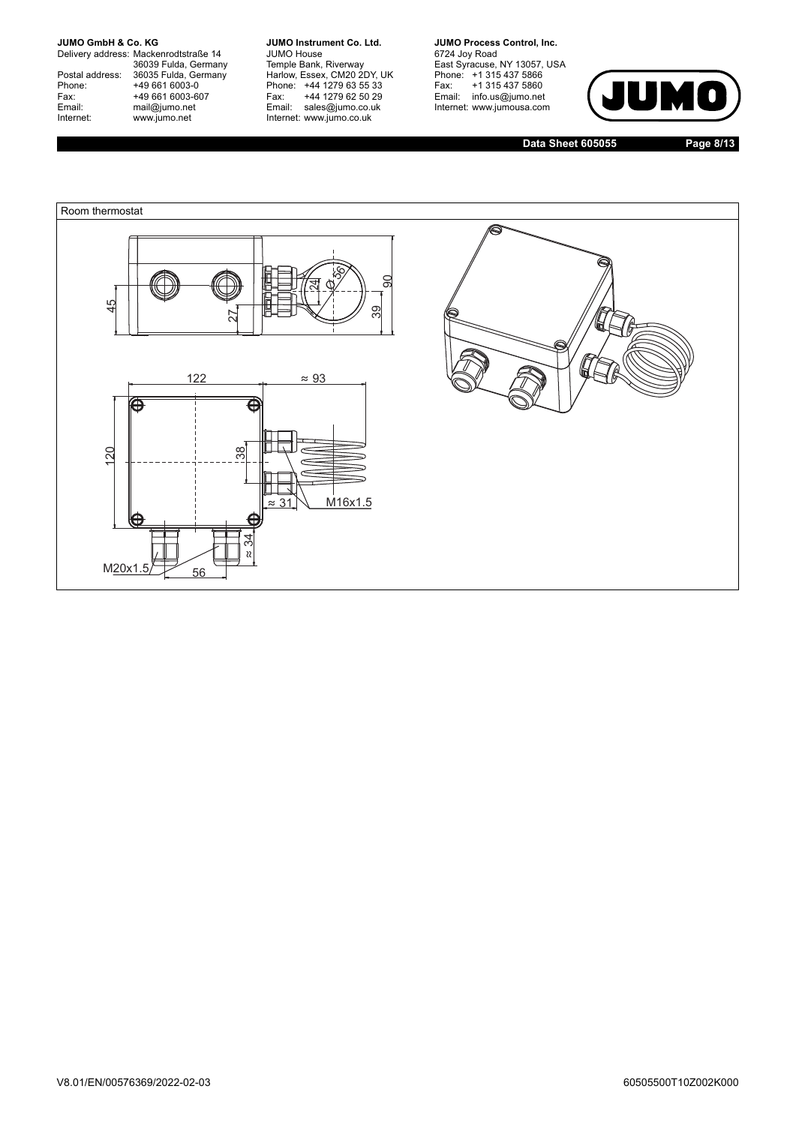Delivery address: Mackenrodtstraße 14 36039 Fulda, Germany Postal address: 36035 Fulda, Germany Postal address: 36035 Fulda, Ge<br>
Phone: +49 661 6003-0<br>
Fax: +49 661 6003-6<br>
Email: mail@jumo.net +49 661 6003-607 mail@jumo.net Internet: www.jumo.net

**JUMO Instrument Co. Ltd.** JUMO House Temple Bank, Riverway Harlow, Essex, CM20 2DY, UK Phone: +44 1279 63 55 33 Fax: +44 1279 62 50 29 Email: sales@jumo.co.uk Internet: www.jumo.co.uk

**JUMO Process Control, Inc.** 6724 Joy Road East Syracuse, NY 13057, USA Phone: +1 315 437 5866 Fax: +1 315 437 5860 Email: info.us@jumo.net Internet: www.jumousa.com



**Data Sheet 605055 Page 8/13**

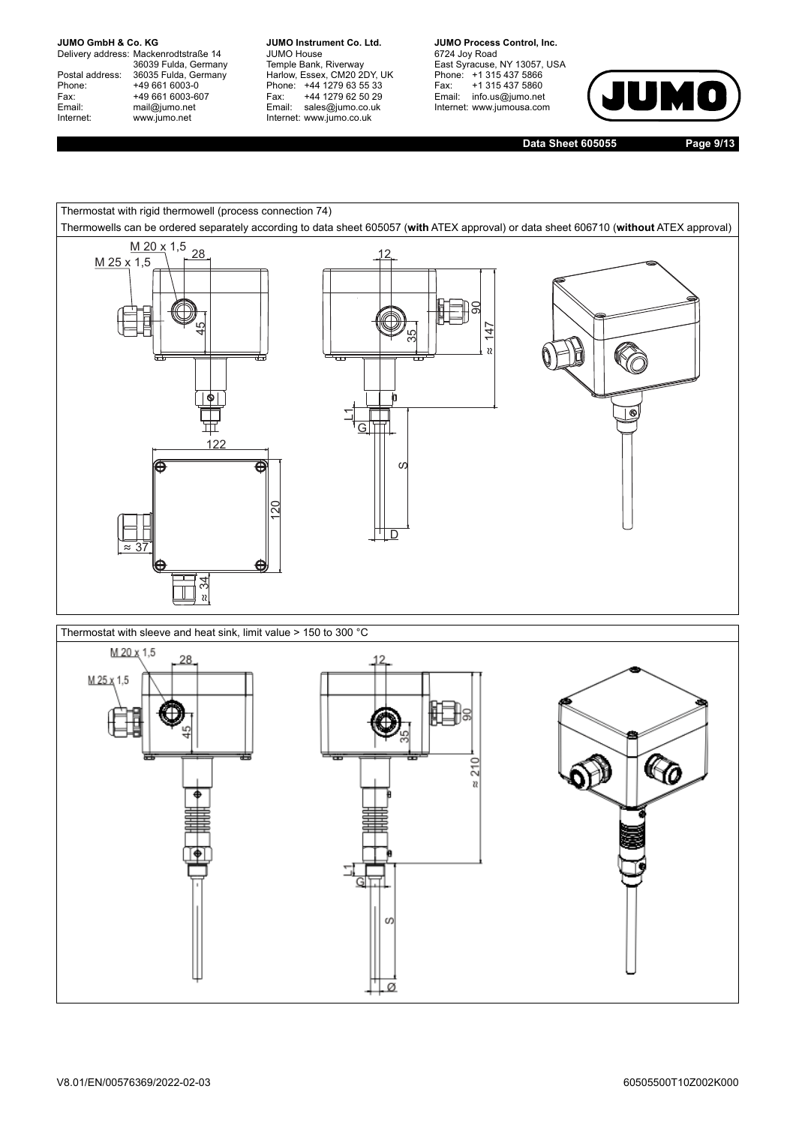Delivery address: Mackenrodtstraße 14 36039 Fulda, Germany Postal address: 36035 Fulda, Germany Postal address: 36035 Fulda, Ge<br>
Phone: +49 661 6003-0<br>
Fax: +49 661 6003-6<br>
Email: mail@jumo.net +49 661 6003-607 mail@jumo.net Internet: www.jumo.net

**JUMO Instrument Co. Ltd.** JUMO House Temple Bank, Riverway Harlow, Essex, CM20 2DY, UK Phone: +44 1279 63 55 33 Fax: +44 1279 62 50 29 Email: sales@jumo.co.uk Internet: www.jumo.co.uk

**JUMO Process Control, Inc.** 6724 Joy Road East Syracuse, NY 13057, USA Phone: +1 315 437 5866 Fax: +1 315 437 5860 Email: info.us@jumo.net Internet: www.jumousa.com



**Data Sheet 605055 Page 9/13**

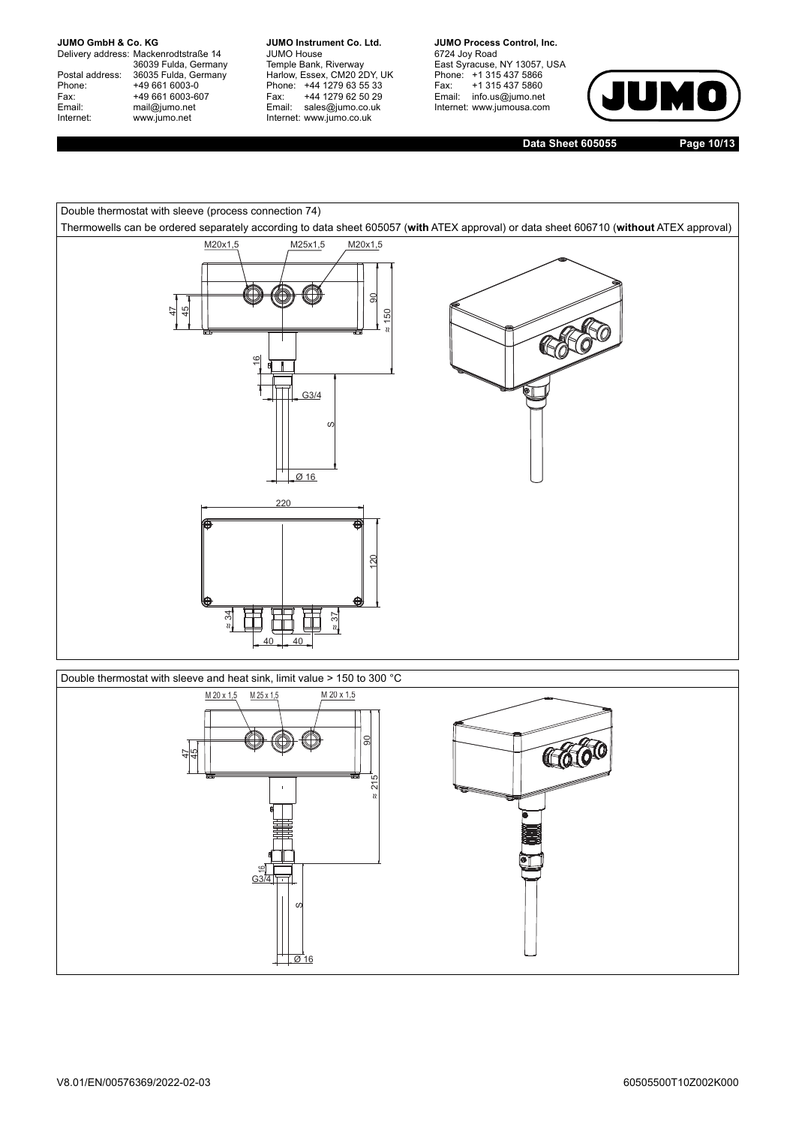Delivery address: Mackenrodtstraße 14 36039 Fulda, Germany Postal address: 36035 Fulda, Germany Postal address: 36035 Fulda, Ge<br>
Phone: +49 661 6003-0<br>
Fax: +49 661 6003-6<br>
Email: mail@jumo.net +49 661 6003-607 mail@jumo.net Internet: www.jumo.net

**JUMO Instrument Co. Ltd.** JUMO House Temple Bank, Riverway Harlow, Essex, CM20 2DY, UK Phone: +44 1279 63 55 33 Fax: +44 1279 62 50 29 Email: sales@jumo.co.uk Internet: www.jumo.co.uk

**JUMO Process Control, Inc.** 6724 Joy Road East Syracuse, NY 13057, USA Phone: +1 315 437 5866 Fax: +1 315 437 5860 Email: info.us@jumo.net Internet: www.jumousa.com



**Data Sheet 605055 Page 10/13**



Double thermostat with sleeve and heat sink, limit value > 150 to 300 °C

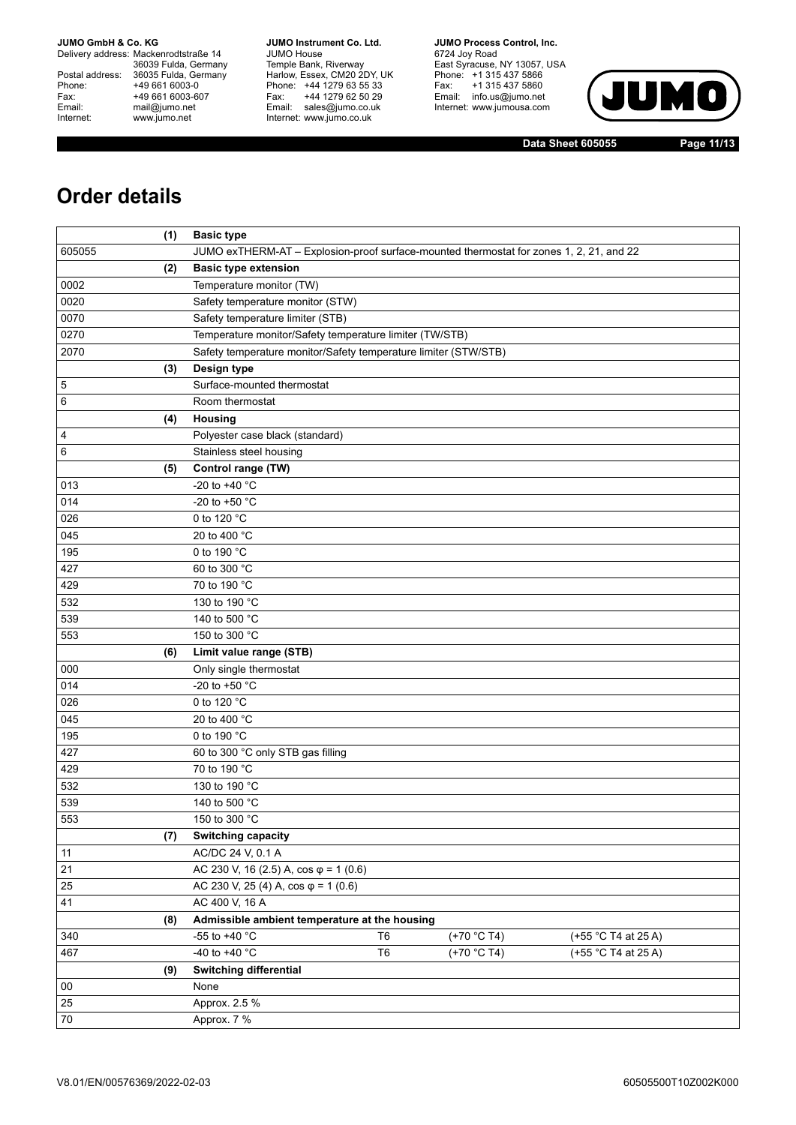Delivery address: Mackenrodtstraße 14 36039 Fulda, Germany Postal address: 36035 Fulda, Germany Phone: +49 661 6003-0<br>
Fax: +49 661 6003-6<br>
Email: mail@jumo.net +49 661 6003-607 mail@jumo.net Internet: www.jumo.net

**JUMO Instrument Co. Ltd.** JUMO House Temple Bank, Riverway Harlow, Essex, CM20 2DY, UK Phone: +44 1279 63 55 33 Fax: +44 1279 62 50 29 Email: sales@jumo.co.uk Internet: www.jumo.co.uk

**JUMO Process Control, Inc.** 6724 Joy Road East Syracuse, NY 13057, USA Phone: +1 315 437 5866 Fax: +1 315 437 5860 Email: info.us@jumo.net Internet: www.jumousa.com



**Data Sheet 605055 Page 11/13**

## **Order details**

| (1)    | <b>Basic type</b>                                                                       |  |  |  |  |  |  |
|--------|-----------------------------------------------------------------------------------------|--|--|--|--|--|--|
| 605055 | JUMO exTHERM-AT - Explosion-proof surface-mounted thermostat for zones 1, 2, 21, and 22 |  |  |  |  |  |  |
| (2)    | <b>Basic type extension</b>                                                             |  |  |  |  |  |  |
| 0002   | Temperature monitor (TW)                                                                |  |  |  |  |  |  |
| 0020   | Safety temperature monitor (STW)                                                        |  |  |  |  |  |  |
| 0070   | Safety temperature limiter (STB)                                                        |  |  |  |  |  |  |
| 0270   | Temperature monitor/Safety temperature limiter (TW/STB)                                 |  |  |  |  |  |  |
| 2070   | Safety temperature monitor/Safety temperature limiter (STW/STB)                         |  |  |  |  |  |  |
| (3)    | Design type                                                                             |  |  |  |  |  |  |
| 5      | Surface-mounted thermostat                                                              |  |  |  |  |  |  |
| 6      | Room thermostat                                                                         |  |  |  |  |  |  |
| (4)    | Housing                                                                                 |  |  |  |  |  |  |
| 4      | Polyester case black (standard)                                                         |  |  |  |  |  |  |
| 6      | Stainless steel housing                                                                 |  |  |  |  |  |  |
| (5)    | Control range (TW)                                                                      |  |  |  |  |  |  |
| 013    | -20 to +40 °C                                                                           |  |  |  |  |  |  |
| 014    | -20 to +50 °C                                                                           |  |  |  |  |  |  |
| 026    | 0 to 120 °C                                                                             |  |  |  |  |  |  |
| 045    | 20 to 400 °C                                                                            |  |  |  |  |  |  |
| 195    | 0 to 190 °C                                                                             |  |  |  |  |  |  |
| 427    | 60 to 300 °C                                                                            |  |  |  |  |  |  |
| 429    | 70 to 190 °C                                                                            |  |  |  |  |  |  |
| 532    | 130 to 190 °C                                                                           |  |  |  |  |  |  |
| 539    | 140 to 500 °C                                                                           |  |  |  |  |  |  |
| 553    | 150 to 300 °C                                                                           |  |  |  |  |  |  |
| (6)    | Limit value range (STB)                                                                 |  |  |  |  |  |  |
| 000    | Only single thermostat                                                                  |  |  |  |  |  |  |
| 014    | -20 to +50 °C                                                                           |  |  |  |  |  |  |
| 026    | 0 to 120 °C                                                                             |  |  |  |  |  |  |
| 045    | 20 to 400 °C                                                                            |  |  |  |  |  |  |
| 195    | 0 to 190 °C                                                                             |  |  |  |  |  |  |
| 427    | 60 to 300 °C only STB gas filling                                                       |  |  |  |  |  |  |
| 429    | 70 to 190 °C                                                                            |  |  |  |  |  |  |
| 532    | 130 to 190 °C                                                                           |  |  |  |  |  |  |
| 539    | 140 to 500 °C                                                                           |  |  |  |  |  |  |
| 553    | 150 to 300 °C                                                                           |  |  |  |  |  |  |
| (7)    | Switching capacity                                                                      |  |  |  |  |  |  |
| 11     | AC/DC 24 V, 0.1 A                                                                       |  |  |  |  |  |  |
| 21     | AC 230 V, 16 (2.5) A, $cos \varphi = 1$ (0.6)                                           |  |  |  |  |  |  |
| 25     | AC 230 V, 25 (4) A, $cos \varphi = 1$ (0.6)                                             |  |  |  |  |  |  |
| 41     | AC 400 V, 16 A                                                                          |  |  |  |  |  |  |
| (8)    | Admissible ambient temperature at the housing                                           |  |  |  |  |  |  |
| 340    | -55 to +40 °C<br>(+70 °C T4)<br>T <sub>6</sub><br>(+55 °C T4 at 25 A)                   |  |  |  |  |  |  |
| 467    | -40 to +40 °C<br>T <sub>6</sub><br>(+70 °C T4)<br>(+55 °C T4 at 25 A)                   |  |  |  |  |  |  |
| (9)    | <b>Switching differential</b>                                                           |  |  |  |  |  |  |
| 00     | None                                                                                    |  |  |  |  |  |  |
| 25     | Approx. 2.5 %                                                                           |  |  |  |  |  |  |
| $70\,$ | Approx. 7 %                                                                             |  |  |  |  |  |  |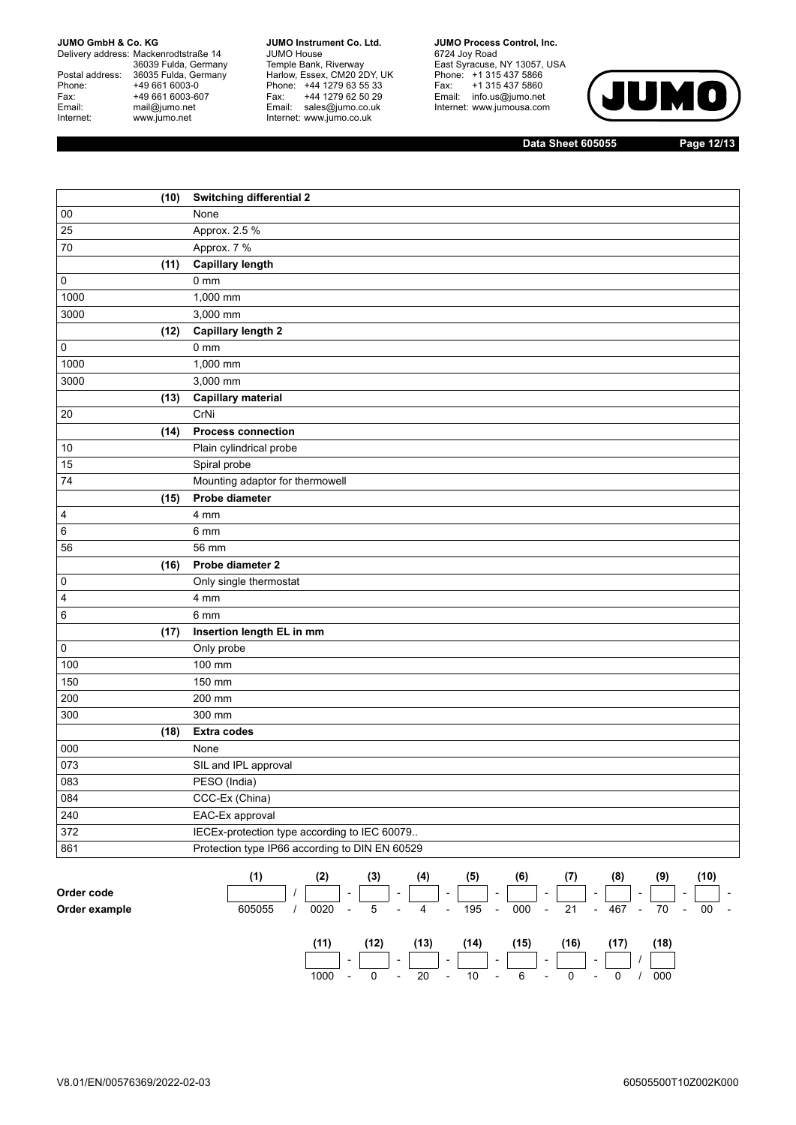Delivery address: Mackenrodtstraße 14 36039 Fulda, Germany Postal address: 36035 Fulda, Germany Phone: +49 661 6003-0<br>
Fax: +49 661 6003-6<br>
Email: mail@jumo.net +49 661 6003-607 mail@jumo.net Internet: www.jumo.net

**JUMO Instrument Co. Ltd.** JUMO House Temple Bank, Riverway Harlow, Essex, CM20 2DY, UK Phone: +44 1279 63 55 33 Fax: +44 1279 62 50 29 Email: sales@jumo.co.uk Internet: www.jumo.co.uk

**JUMO Process Control, Inc.** 6724 Joy Road East Syracuse, NY 13057, USA Phone: +1 315 437 5866 Fax: +1 315 437 5860 Email: info.us@jumo.net Internet: www.jumousa.com



**Data Sheet 605055 Page 12/13**

| <b>Switching differential 2</b><br>(10)<br>00<br>None<br>Approx. 2.5 %<br>25<br>Approx. 7 % |  |
|---------------------------------------------------------------------------------------------|--|
|                                                                                             |  |
|                                                                                             |  |
| 70                                                                                          |  |
| <b>Capillary length</b><br>(11)                                                             |  |
| 0 <sub>mm</sub><br>0                                                                        |  |
| 1000<br>1,000 mm                                                                            |  |
| 3,000 mm<br>3000                                                                            |  |
| Capillary length 2<br>(12)                                                                  |  |
| $0 \text{ mm}$<br>$\pmb{0}$                                                                 |  |
| 1000<br>1,000 mm                                                                            |  |
| 3000<br>3,000 mm                                                                            |  |
| (13)<br><b>Capillary material</b>                                                           |  |
| CrNi<br>$20\,$                                                                              |  |
| <b>Process connection</b><br>(14)                                                           |  |
| Plain cylindrical probe<br>10                                                               |  |
| 15<br>Spiral probe                                                                          |  |
| Mounting adaptor for thermowell<br>74                                                       |  |
| Probe diameter<br>(15)                                                                      |  |
| 4<br>4 mm                                                                                   |  |
| 6<br>6 mm                                                                                   |  |
| 56<br>56 mm                                                                                 |  |
| Probe diameter 2<br>(16)                                                                    |  |
| Only single thermostat<br>0                                                                 |  |
| 4<br>4 mm                                                                                   |  |
| 6<br>$6 \text{ mm}$                                                                         |  |
| Insertion length EL in mm<br>(17)                                                           |  |
| 0<br>Only probe                                                                             |  |
| 100<br>100 mm                                                                               |  |
| 150<br>150 mm                                                                               |  |
| 200<br>200 mm                                                                               |  |
| 300<br>300 mm                                                                               |  |
| <b>Extra codes</b><br>(18)                                                                  |  |
| 000<br>None                                                                                 |  |
| 073<br>SIL and IPL approval                                                                 |  |
| 083<br>PESO (India)                                                                         |  |
| 084<br>CCC-Ex (China)                                                                       |  |
| 240<br>EAC-Ex approval                                                                      |  |
| 372<br>IECEx-protection type according to IEC 60079                                         |  |
| Protection type IP66 according to DIN EN 60529<br>861                                       |  |

|               |        | (2)  |                          | (3)  |                          | (4)  |                          | (5)  |                          | (6)     |        |      |                          | (8)   |        | (9)     |        | (10)   |        |
|---------------|--------|------|--------------------------|------|--------------------------|------|--------------------------|------|--------------------------|---------|--------|------|--------------------------|-------|--------|---------|--------|--------|--------|
| Order code    |        |      | $\overline{\phantom{a}}$ |      | $\overline{\phantom{a}}$ |      | $\sim$                   |      | $\sim$                   |         | $\sim$ |      | $\sim$                   |       | $\sim$ |         | $\sim$ |        | $\sim$ |
| Order example | 605055 | 0020 | $\sim$                   | 5    | $\overline{a}$           | 4    | $\sim$                   | 195  | $\overline{\phantom{a}}$ | $000 -$ |        | 21   |                          | - 467 |        | $-70 -$ |        | $00 -$ |        |
|               |        | (11) |                          | (12) |                          | (13) |                          | (14) |                          | (15)    |        | (16) |                          | (17)  |        | (18)    |        |        |        |
|               |        |      | $\overline{\phantom{0}}$ |      | $\overline{\phantom{a}}$ |      | $\overline{\phantom{a}}$ |      | $\sim$                   |         | $\sim$ |      | $\overline{\phantom{0}}$ |       |        |         |        |        |        |

1000 - 0 - 20 - 10 - 6 - 0 - 0 / 000